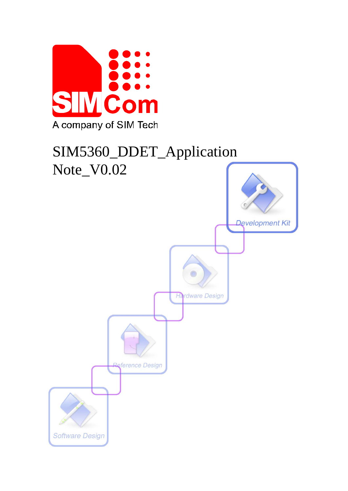

# SIM5360\_DDET\_Application

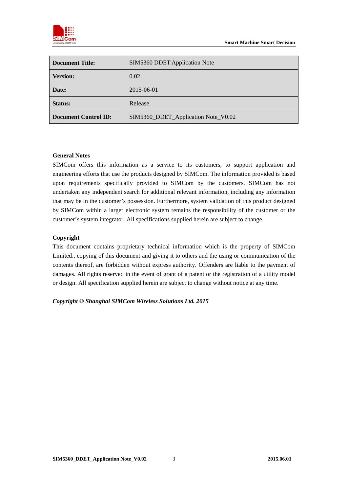

| <b>Document Title:</b>      | SIM5360 DDET Application Note       |
|-----------------------------|-------------------------------------|
| <b>Version:</b>             | 0.02                                |
| Date:                       | 2015-06-01                          |
| <b>Status:</b>              | Release                             |
| <b>Document Control ID:</b> | SIM5360_DDET_Application Note_V0.02 |

#### **General Notes**

SIMCom offers this information as a service to its customers, to support application and engineering efforts that use the products designed by SIMCom. The information provided is based upon requirements specifically provided to SIMCom by the customers. SIMCom has not undertaken any independent search for additional relevant information, including any information that may be in the customer's possession. Furthermore, system validation of this product designed by SIMCom within a larger electronic system remains the responsibility of the customer or the customer's system integrator. All specifications supplied herein are subject to change.

#### **Copyright**

This document contains proprietary technical information which is the property of SIMCom Limited., copying of this document and giving it to others and the using or communication of the contents thereof, are forbidden without express authority. Offenders are liable to the payment of damages. All rights reserved in the event of grant of a patent or the registration of a utility model or design. All specification supplied herein are subject to change without notice at any time.

*Copyright © Shanghai SIMCom Wireless Solutions Ltd. 2015*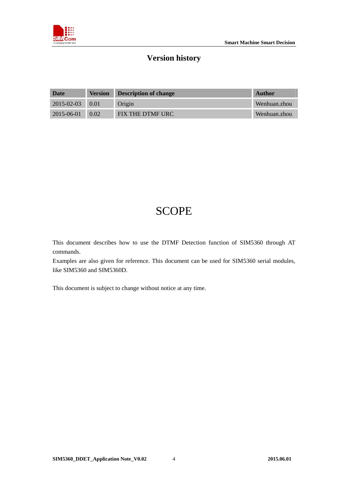# **Version history**

| Date                  |      | <b>Version Description of change</b> | Author       |
|-----------------------|------|--------------------------------------|--------------|
| $2015 - 02 - 03$ 0.01 |      | Origin                               | Wenhuan.zhou |
| $2015 - 06 - 01$      | 0.02 | FIX THE DTMF URC                     | Wenhuan.zhou |

# **SCOPE**

This document describes how to use the DTMF Detection function of SIM5360 through AT commands.

Examples are also given for reference. This document can be used for SIM5360 serial modules, like SIM5360 and SIM5360D.

This document is subject to change without notice at any time.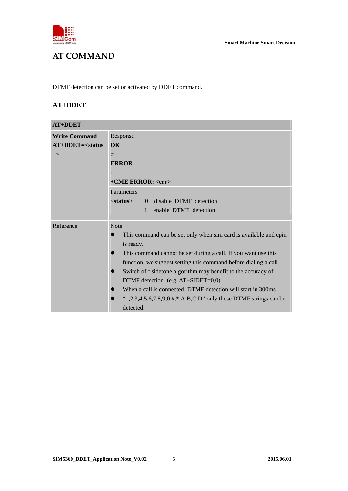

# **AT COMMAND**

DTMF detection can be set or activated by DDET command.

# **AT+DDET**

| <b>Write Command</b> | Response                                                              |  |
|----------------------|-----------------------------------------------------------------------|--|
| $AT+DDET=<$ status   | OK                                                                    |  |
| $\geq$               | or                                                                    |  |
|                      | <b>ERROR</b>                                                          |  |
|                      | or                                                                    |  |
|                      | +CME ERROR: <err></err>                                               |  |
|                      | <b>Parameters</b>                                                     |  |
|                      | 0 disable DTMF detection<br><status></status>                         |  |
|                      | enable DTMF detection<br>$\mathbf{1}$                                 |  |
| Reference            | <b>Note</b>                                                           |  |
|                      | This command can be set only when sim card is available and cpin      |  |
|                      | is ready.                                                             |  |
|                      | This command cannot be set during a call. If you want use this        |  |
|                      | function, we suggest setting this command before dialing a call.      |  |
|                      | Switch of f sidetone algorithm may benefit to the accuracy of         |  |
|                      | DTMF detection. (e.g. AT+SIDET=0,0)                                   |  |
|                      | When a call is connected, DTMF detection will start in 300ms          |  |
|                      | " $1,2,3,4,5,6,7,8,9,0,\#$ ,",A,B,C,D" only these DTMF strings can be |  |
|                      | detected.                                                             |  |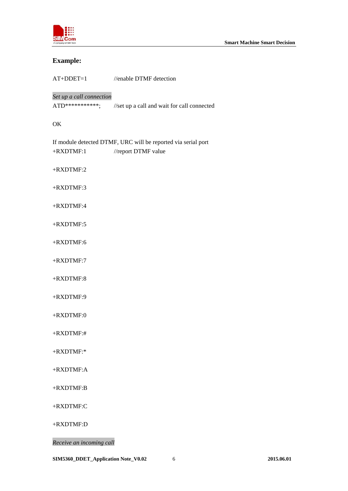

# **Example:**

| //enable DTMF detection                                                              |
|--------------------------------------------------------------------------------------|
| Set up a call connection<br>//set up a call and wait for call connected              |
|                                                                                      |
| If module detected DTMF, URC will be reported via serial port<br>//report DTMF value |
|                                                                                      |
|                                                                                      |
|                                                                                      |
|                                                                                      |
|                                                                                      |
|                                                                                      |
|                                                                                      |
|                                                                                      |
|                                                                                      |
|                                                                                      |
|                                                                                      |
|                                                                                      |
|                                                                                      |
|                                                                                      |
|                                                                                      |

+RXDTMF:D

*Receive an incoming call*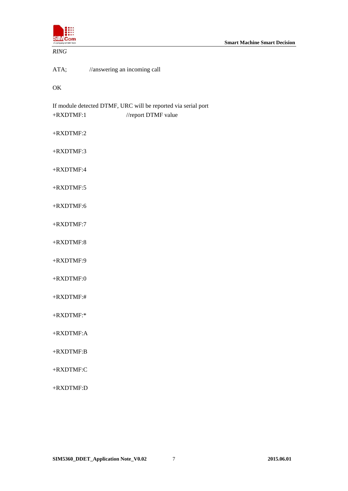

#### *RING*

ATA; //answering an incoming call

OK

If module detected DTMF, URC will be reported via serial port +RXDTMF:1 //report DTMF value

+RXDTMF:2

+RXDTMF:3

+RXDTMF:4

+RXDTMF:5

+RXDTMF:6

+RXDTMF:7

+RXDTMF:8

+RXDTMF:9

 $+$ RXDTMF:0

+RXDTMF:#

+RXDTMF:\*

+RXDTMF:A

+RXDTMF:B

+RXDTMF:C

+RXDTMF:D